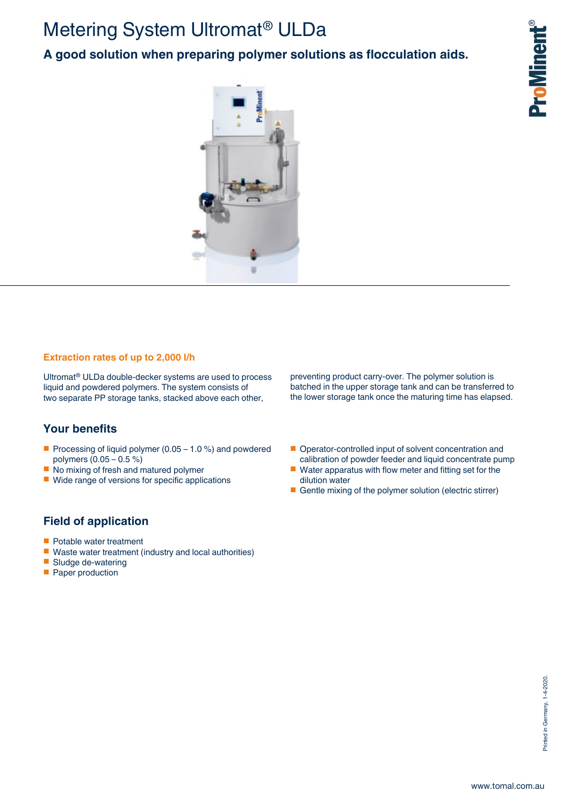# Metering System Ultromat® ULDa

**A good solution when preparing polymer solutions as flocculation aids.**



### **Extraction rates of up to 2,000 l/h**

Ultromat® ULDa double-decker systems are used to process liquid and powdered polymers. The system consists of two separate PP storage tanks, stacked above each other,

# **Your benefits**

- Processing of liquid polymer (0.05 1.0 %) and powdered polymers (0.05 – 0.5 %)
- No mixing of fresh and matured polymer
- Wide range of versions for specific applications

preventing product carry-over. The polymer solution is batched in the upper storage tank and can be transferred to the lower storage tank once the maturing time has elapsed.

- Operator-controlled input of solvent concentration and calibration of powder feeder and liquid concentrate pump
- Water apparatus with flow meter and fitting set for the dilution water
- Gentle mixing of the polymer solution (electric stirrer)

# **Field of application**

- Potable water treatment
- Waste water treatment (industry and local authorities)
- Sludge de-watering
- Paper production